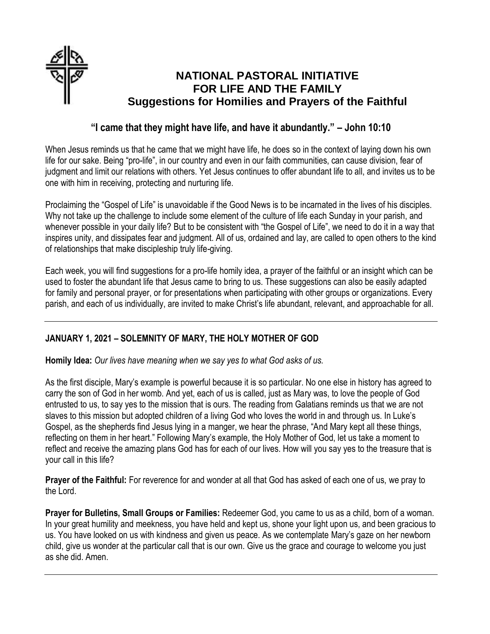

# **NATIONAL PASTORAL INITIATIVE FOR LIFE AND THE FAMILY Suggestions for Homilies and Prayers of the Faithful**

# **"I came that they might have life, and have it abundantly." – John 10:10**

When Jesus reminds us that he came that we might have life, he does so in the context of laying down his own life for our sake. Being "pro-life", in our country and even in our faith communities, can cause division, fear of judgment and limit our relations with others. Yet Jesus continues to offer abundant life to all, and invites us to be one with him in receiving, protecting and nurturing life.

Proclaiming the "Gospel of Life" is unavoidable if the Good News is to be incarnated in the lives of his disciples. Why not take up the challenge to include some element of the culture of life each Sunday in your parish, and whenever possible in your daily life? But to be consistent with "the Gospel of Life", we need to do it in a way that inspires unity, and dissipates fear and judgment. All of us, ordained and lay, are called to open others to the kind of relationships that make discipleship truly life-giving.

Each week, you will find suggestions for a pro-life homily idea, a prayer of the faithful or an insight which can be used to foster the abundant life that Jesus came to bring to us. These suggestions can also be easily adapted for family and personal prayer, or for presentations when participating with other groups or organizations. Every parish, and each of us individually, are invited to make Christ's life abundant, relevant, and approachable for all.

## **JANUARY 1, 2021 – SOLEMNITY OF MARY, THE HOLY MOTHER OF GOD**

**Homily Idea:** *Our lives have meaning when we say yes to what God asks of us.*

As the first disciple, Mary's example is powerful because it is so particular. No one else in history has agreed to carry the son of God in her womb. And yet, each of us is called, just as Mary was, to love the people of God entrusted to us, to say yes to the mission that is ours. The reading from Galatians reminds us that we are not slaves to this mission but adopted children of a living God who loves the world in and through us. In Luke's Gospel, as the shepherds find Jesus lying in a manger, we hear the phrase, "And Mary kept all these things, reflecting on them in her heart." Following Mary's example, the Holy Mother of God, let us take a moment to reflect and receive the amazing plans God has for each of our lives. How will you say yes to the treasure that is your call in this life?

**Prayer of the Faithful:** For reverence for and wonder at all that God has asked of each one of us, we pray to the Lord.

**Prayer for Bulletins, Small Groups or Families:** Redeemer God, you came to us as a child, born of a woman. In your great humility and meekness, you have held and kept us, shone your light upon us, and been gracious to us. You have looked on us with kindness and given us peace. As we contemplate Mary's gaze on her newborn child, give us wonder at the particular call that is our own. Give us the grace and courage to welcome you just as she did. Amen.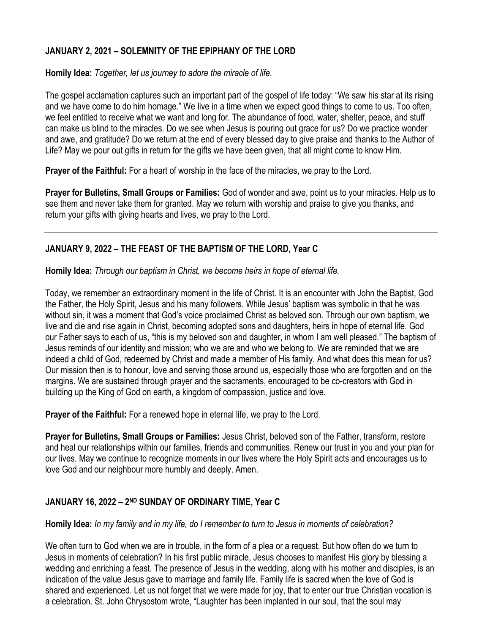#### **JANUARY 2, 2021 – SOLEMNITY OF THE EPIPHANY OF THE LORD**

**Homily Idea:** *Together, let us journey to adore the miracle of life.*

The gospel acclamation captures such an important part of the gospel of life today: "We saw his star at its rising and we have come to do him homage." We live in a time when we expect good things to come to us. Too often, we feel entitled to receive what we want and long for. The abundance of food, water, shelter, peace, and stuff can make us blind to the miracles. Do we see when Jesus is pouring out grace for us? Do we practice wonder and awe, and gratitude? Do we return at the end of every blessed day to give praise and thanks to the Author of Life? May we pour out gifts in return for the gifts we have been given, that all might come to know Him.

**Prayer of the Faithful:** For a heart of worship in the face of the miracles, we pray to the Lord.

**Prayer for Bulletins, Small Groups or Families:** God of wonder and awe, point us to your miracles. Help us to see them and never take them for granted. May we return with worship and praise to give you thanks, and return your gifts with giving hearts and lives, we pray to the Lord.

## **JANUARY 9, 2022 – THE FEAST OF THE BAPTISM OF THE LORD, Year C**

**Homily Idea:** *Through our baptism in Christ, we become heirs in hope of eternal life.*

Today, we remember an extraordinary moment in the life of Christ. It is an encounter with John the Baptist, God the Father, the Holy Spirit, Jesus and his many followers. While Jesus' baptism was symbolic in that he was without sin, it was a moment that God's voice proclaimed Christ as beloved son. Through our own baptism, we live and die and rise again in Christ, becoming adopted sons and daughters, heirs in hope of eternal life. God our Father says to each of us, "this is my beloved son and daughter, in whom I am well pleased." The baptism of Jesus reminds of our identity and mission; who we are and who we belong to. We are reminded that we are indeed a child of God, redeemed by Christ and made a member of His family. And what does this mean for us? Our mission then is to honour, love and serving those around us, especially those who are forgotten and on the margins. We are sustained through prayer and the sacraments, encouraged to be co-creators with God in building up the King of God on earth, a kingdom of compassion, justice and love.

**Prayer of the Faithful:** For a renewed hope in eternal life, we pray to the Lord.

**Prayer for Bulletins, Small Groups or Families:** Jesus Christ, beloved son of the Father, transform, restore and heal our relationships within our families, friends and communities. Renew our trust in you and your plan for our lives. May we continue to recognize moments in our lives where the Holy Spirit acts and encourages us to love God and our neighbour more humbly and deeply. Amen.

#### **JANUARY 16, 2022 – 2 ND SUNDAY OF ORDINARY TIME, Year C**

#### **Homily Idea:** *In my family and in my life, do I remember to turn to Jesus in moments of celebration?*

We often turn to God when we are in trouble, in the form of a plea or a request. But how often do we turn to Jesus in moments of celebration? In his first public miracle, Jesus chooses to manifest His glory by blessing a wedding and enriching a feast. The presence of Jesus in the wedding, along with his mother and disciples, is an indication of the value Jesus gave to marriage and family life. Family life is sacred when the love of God is shared and experienced. Let us not forget that we were made for joy, that to enter our true Christian vocation is a celebration. St. John Chrysostom wrote, "Laughter has been implanted in our soul, that the soul may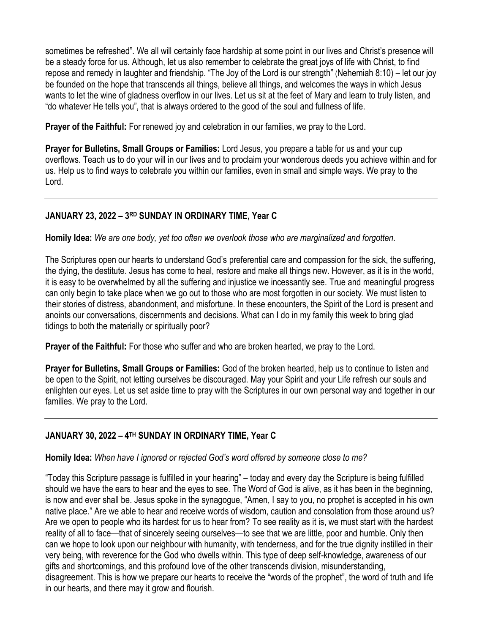sometimes be refreshed". We all will certainly face hardship at some point in our lives and Christ's presence will be a steady force for us. Although, let us also remember to celebrate the great joys of life with Christ, to find repose and remedy in laughter and friendship. "The Joy of the Lord is our strength" (Nehemiah 8:10) – let our joy be founded on the hope that transcends all things, believe all things, and welcomes the ways in which Jesus wants to let the wine of gladness overflow in our lives. Let us sit at the feet of Mary and learn to truly listen, and "do whatever He tells you", that is always ordered to the good of the soul and fullness of life.

**Prayer of the Faithful:** For renewed joy and celebration in our families, we pray to the Lord.

**Prayer for Bulletins, Small Groups or Families:** Lord Jesus, you prepare a table for us and your cup overflows. Teach us to do your will in our lives and to proclaim your wonderous deeds you achieve within and for us. Help us to find ways to celebrate you within our families, even in small and simple ways. We pray to the Lord.

#### **JANUARY 23, 2022 – 3 RD SUNDAY IN ORDINARY TIME, Year C**

**Homily Idea:** *We are one body, yet too often we overlook those who are marginalized and forgotten.* 

The Scriptures open our hearts to understand God's preferential care and compassion for the sick, the suffering, the dying, the destitute. Jesus has come to heal, restore and make all things new. However, as it is in the world, it is easy to be overwhelmed by all the suffering and injustice we incessantly see. True and meaningful progress can only begin to take place when we go out to those who are most forgotten in our society. We must listen to their stories of distress, abandonment, and misfortune. In these encounters, the Spirit of the Lord is present and anoints our conversations, discernments and decisions. What can I do in my family this week to bring glad tidings to both the materially or spiritually poor?

**Prayer of the Faithful:** For those who suffer and who are broken hearted, we pray to the Lord.

**Prayer for Bulletins, Small Groups or Families:** God of the broken hearted, help us to continue to listen and be open to the Spirit, not letting ourselves be discouraged. May your Spirit and your Life refresh our souls and enlighten our eyes. Let us set aside time to pray with the Scriptures in our own personal way and together in our families. We pray to the Lord.

## **JANUARY 30, 2022 – 4 TH SUNDAY IN ORDINARY TIME, Year C**

**Homily Idea:** *When have I ignored or rejected God's word offered by someone close to me?* 

"Today this Scripture passage is fulfilled in your hearing" – today and every day the Scripture is being fulfilled should we have the ears to hear and the eyes to see. The Word of God is alive, as it has been in the beginning, is now and ever shall be. Jesus spoke in the synagogue, "Amen, I say to you, no prophet is accepted in his own native place." Are we able to hear and receive words of wisdom, caution and consolation from those around us? Are we open to people who its hardest for us to hear from? To see reality as it is, we must start with the hardest reality of all to face—that of sincerely seeing ourselves—to see that we are little, poor and humble. Only then can we hope to look upon our neighbour with humanity, with tenderness, and for the true dignity instilled in their very being, with reverence for the God who dwells within. This type of deep self-knowledge, awareness of our gifts and shortcomings, and this profound love of the other transcends division, misunderstanding, disagreement. This is how we prepare our hearts to receive the "words of the prophet", the word of truth and life in our hearts, and there may it grow and flourish.